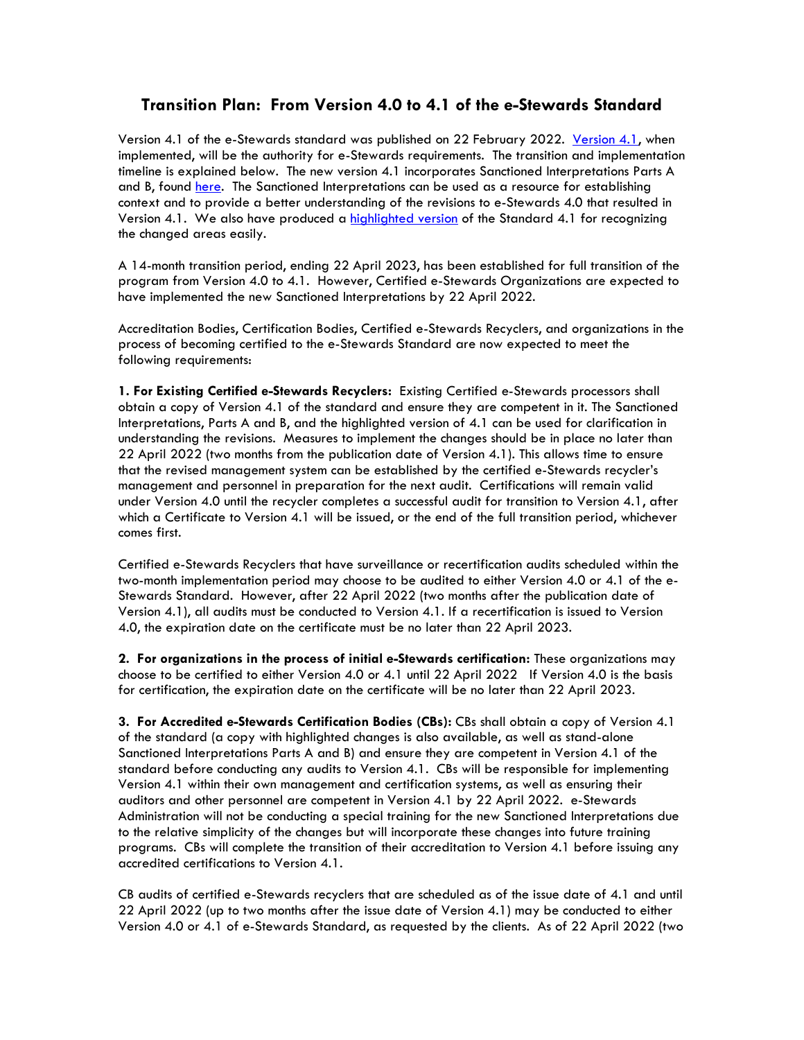## **Transition Plan: From Version 4.0 to 4.1 of the e-Stewards Standard**

Version 4.1 of the e-Stewards standard was published on 22 February 2022. [Version 4.1,](https://e-stewards.org/wp-content/uploads/2022/02/e-Stewards-Standard-V4.1.pdf) when implemented, will be the authority for e-Stewards requirements. The transition and implementation timeline is explained below. The new version 4.1 incorporates Sanctioned Interpretations Parts A and B, found [here.](https://e-stewards.org/learn-more/for-recyclers/access-the-standard/sanctioned-interpretations/) The Sanctioned Interpretations can be used as a resource for establishing context and to provide a better understanding of the revisions to e-Stewards 4.0 that resulted in Version 4.1. We also have produced a [highlighted version](https://e-stewards.org/wp-content/uploads/2022/02/e-Stewards-Standard-V4.1-Highlighted.pdf) of the Standard 4.1 for recognizing the changed areas easily.

A 14-month transition period, ending 22 April 2023, has been established for full transition of the program from Version 4.0 to 4.1. However, Certified e-Stewards Organizations are expected to have implemented the new Sanctioned Interpretations by 22 April 2022.

Accreditation Bodies, Certification Bodies, Certified e-Stewards Recyclers, and organizations in the process of becoming certified to the e-Stewards Standard are now expected to meet the following requirements:

**1. For Existing Certified e-Stewards Recyclers:** Existing Certified e-Stewards processors shall obtain a copy of Version 4.1 of the standard and ensure they are competent in it. The Sanctioned Interpretations, Parts A and B, and the highlighted version of 4.1 can be used for clarification in understanding the revisions. Measures to implement the changes should be in place no later than 22 April 2022 (two months from the publication date of Version 4.1). This allows time to ensure that the revised management system can be established by the certified e-Stewards recycler's management and personnel in preparation for the next audit. Certifications will remain valid under Version 4.0 until the recycler completes a successful audit for transition to Version 4.1, after which a Certificate to Version 4.1 will be issued, or the end of the full transition period, whichever comes first.

Certified e-Stewards Recyclers that have surveillance or recertification audits scheduled within the two-month implementation period may choose to be audited to either Version 4.0 or 4.1 of the e-Stewards Standard. However, after 22 April 2022 (two months after the publication date of Version 4.1), all audits must be conducted to Version 4.1. If a recertification is issued to Version 4.0, the expiration date on the certificate must be no later than 22 April 2023.

**2. For organizations in the process of initial e-Stewards certification:** These organizations may choose to be certified to either Version 4.0 or 4.1 until 22 April 2022 If Version 4.0 is the basis for certification, the expiration date on the certificate will be no later than 22 April 2023.

**3. For Accredited e-Stewards Certification Bodies (CBs):** CBs shall obtain a copy of Version 4.1 of the standard (a copy with highlighted changes is also available, as well as stand-alone Sanctioned Interpretations Parts A and B) and ensure they are competent in Version 4.1 of the standard before conducting any audits to Version 4.1. CBs will be responsible for implementing Version 4.1 within their own management and certification systems, as well as ensuring their auditors and other personnel are competent in Version 4.1 by 22 April 2022. e-Stewards Administration will not be conducting a special training for the new Sanctioned Interpretations due to the relative simplicity of the changes but will incorporate these changes into future training programs. CBs will complete the transition of their accreditation to Version 4.1 before issuing any accredited certifications to Version 4.1.

CB audits of certified e-Stewards recyclers that are scheduled as of the issue date of 4.1 and until 22 April 2022 (up to two months after the issue date of Version 4.1) may be conducted to either Version 4.0 or 4.1 of e-Stewards Standard, as requested by the clients. As of 22 April 2022 (two